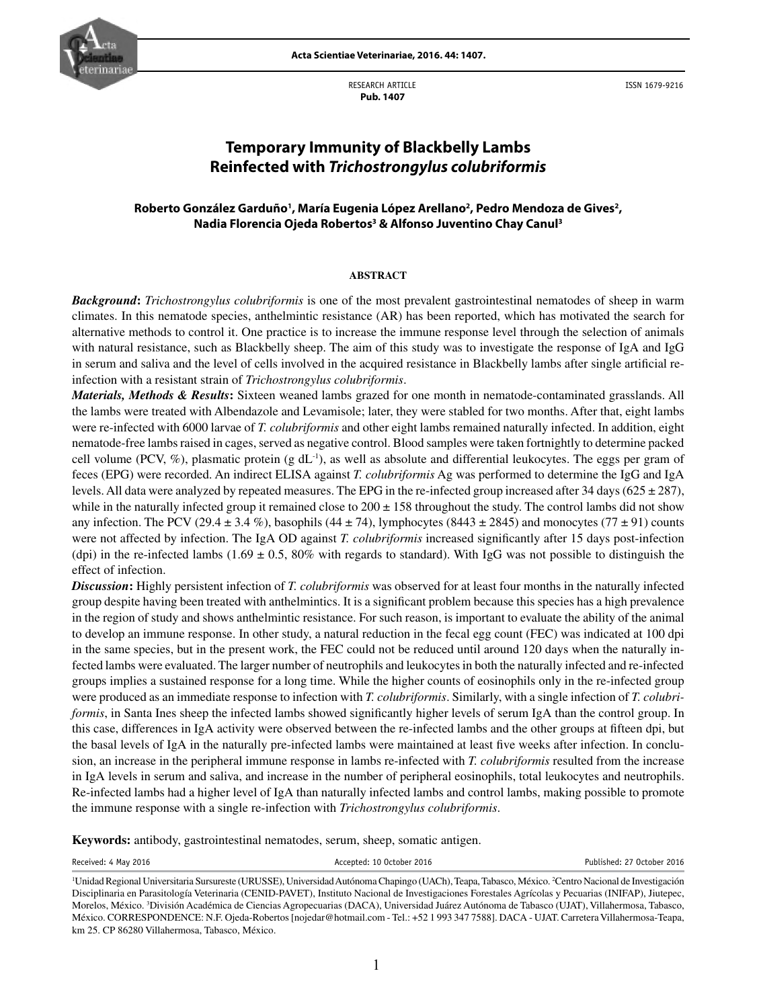

RESEARCH ARTICLE  **Pub. 1407**



ISSN 1679-9216

# **Temporary Immunity of Blackbelly Lambs Reinfected with** *Trichostrongylus colubriformis*

## Roberto González Garduño<sup>1</sup>, María Eugenia López Arellano<sup>2</sup>, Pedro Mendoza de Gives<sup>2</sup>, **Nadia Florencia Ojeda Robertos3 & Alfonso Juventino Chay Canul3**

### **ABSTRACT**

*Background***:** *Trichostrongylus colubriformis* is one of the most prevalent gastrointestinal nematodes of sheep in warm climates. In this nematode species, anthelmintic resistance (AR) has been reported, which has motivated the search for alternative methods to control it. One practice is to increase the immune response level through the selection of animals with natural resistance, such as Blackbelly sheep. The aim of this study was to investigate the response of IgA and IgG in serum and saliva and the level of cells involved in the acquired resistance in Blackbelly lambs after single artificial reinfection with a resistant strain of *Trichostrongylus colubriformis*.

*Materials, Methods & Results***:** Sixteen weaned lambs grazed for one month in nematode-contaminated grasslands. All the lambs were treated with Albendazole and Levamisole; later, they were stabled for two months. After that, eight lambs were re-infected with 6000 larvae of *T. colubriformis* and other eight lambs remained naturally infected. In addition, eight nematode-free lambs raised in cages, served as negative control. Blood samples were taken fortnightly to determine packed cell volume (PCV,  $\%$ ), plasmatic protein (g dL<sup>-1</sup>), as well as absolute and differential leukocytes. The eggs per gram of feces (EPG) were recorded. An indirect ELISA against *T. colubriformis* Ag was performed to determine the IgG and IgA levels. All data were analyzed by repeated measures. The EPG in the re-infected group increased after 34 days ( $625 \pm 287$ ), while in the naturally infected group it remained close to  $200 \pm 158$  throughout the study. The control lambs did not show any infection. The PCV (29.4  $\pm$  3.4 %), basophils (44  $\pm$  74), lymphocytes (8443  $\pm$  2845) and monocytes (77  $\pm$  91) counts were not affected by infection. The IgA OD against *T. colubriformis* increased significantly after 15 days post-infection (dpi) in the re-infected lambs (1.69  $\pm$  0.5, 80% with regards to standard). With IgG was not possible to distinguish the effect of infection.

*Discussion***:** Highly persistent infection of *T. colubriformis* was observed for at least four months in the naturally infected group despite having been treated with anthelmintics. It is a significant problem because this species has a high prevalence in the region of study and shows anthelmintic resistance. For such reason, is important to evaluate the ability of the animal to develop an immune response. In other study, a natural reduction in the fecal egg count (FEC) was indicated at 100 dpi in the same species, but in the present work, the FEC could not be reduced until around 120 days when the naturally infected lambs were evaluated. The larger number of neutrophils and leukocytes in both the naturally infected and re-infected groups implies a sustained response for a long time. While the higher counts of eosinophils only in the re-infected group were produced as an immediate response to infection with *T. colubriformis*. Similarly, with a single infection of *T. colubriformis*, in Santa Ines sheep the infected lambs showed significantly higher levels of serum IgA than the control group. In this case, differences in IgA activity were observed between the re-infected lambs and the other groups at fifteen dpi, but the basal levels of IgA in the naturally pre-infected lambs were maintained at least five weeks after infection. In conclusion, an increase in the peripheral immune response in lambs re-infected with *T. colubriformis* resulted from the increase in IgA levels in serum and saliva, and increase in the number of peripheral eosinophils, total leukocytes and neutrophils. Re-infected lambs had a higher level of IgA than naturally infected lambs and control lambs, making possible to promote the immune response with a single re-infection with *Trichostrongylus colubriformis*.

**Keywords:** antibody, gastrointestinal nematodes, serum, sheep, somatic antigen.

Received: 4 May 2016 **Accepted: 10 October 2016** Accepted: 10 October 2016 **Published: 27 October 2016** 

<sup>&</sup>lt;sup>1</sup>Unidad Regional Universitaria Sursureste (URUSSE), Universidad Autónoma Chapingo (UACh), Teapa, Tabasco, México. <sup>2</sup>Centro Nacional de Investigación Disciplinaria en Parasitología Veterinaria (CENID-PAVET), Instituto Nacional de Investigaciones Forestales Agrícolas y Pecuarias (INIFAP), Jiutepec, Morelos, México. 3 División Académica de Ciencias Agropecuarias (DACA), Universidad Juárez Autónoma de Tabasco (UJAT), Villahermosa, Tabasco, México. CORRESPONDENCE: N.F. Ojeda-Robertos [nojedar@hotmail.com - Tel.: +52 1 993 347 7588]. DACA - UJAT. Carretera Villahermosa-Teapa, km 25. CP 86280 Villahermosa, Tabasco, México.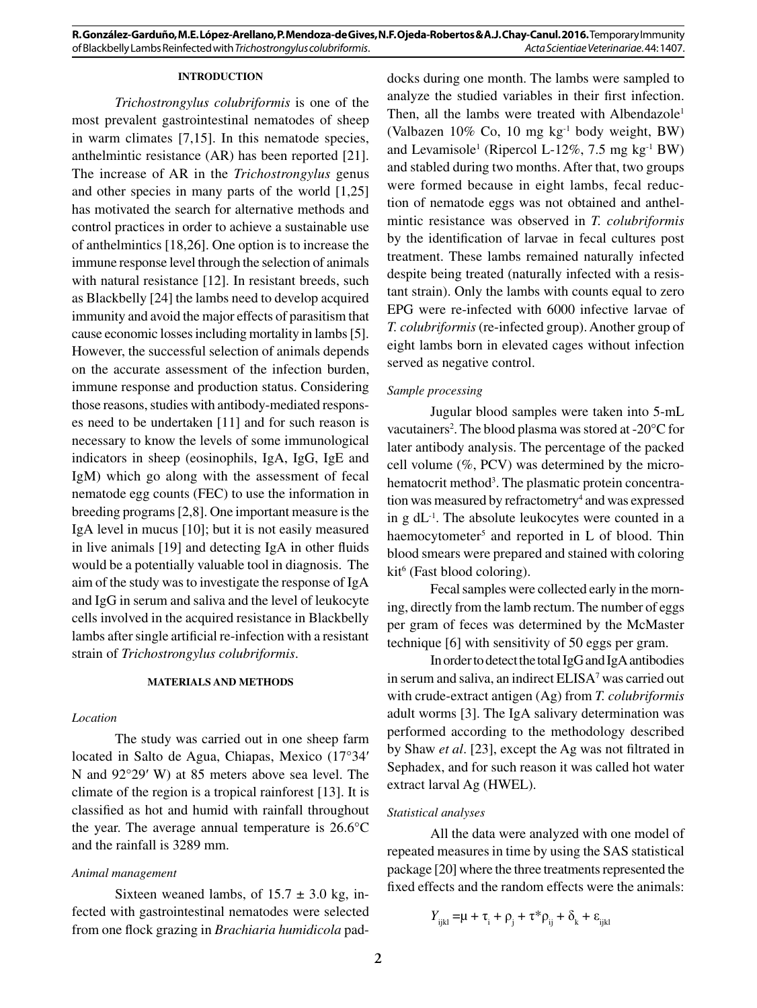## **INTRODUCTION**

*Trichostrongylus colubriformis* is one of the most prevalent gastrointestinal nematodes of sheep in warm climates [7,15]. In this nematode species, anthelmintic resistance (AR) has been reported [21]. The increase of AR in the *Trichostrongylus* genus and other species in many parts of the world [1,25] has motivated the search for alternative methods and control practices in order to achieve a sustainable use of anthelmintics [18,26]. One option is to increase the immune response level through the selection of animals with natural resistance [12]. In resistant breeds, such as Blackbelly [24] the lambs need to develop acquired immunity and avoid the major effects of parasitism that cause economic losses including mortality in lambs [5]. However, the successful selection of animals depends on the accurate assessment of the infection burden, immune response and production status. Considering those reasons, studies with antibody-mediated responses need to be undertaken [11] and for such reason is necessary to know the levels of some immunological indicators in sheep (eosinophils, IgA, IgG, IgE and IgM) which go along with the assessment of fecal nematode egg counts (FEC) to use the information in breeding programs [2,8]. One important measure is the IgA level in mucus [10]; but it is not easily measured in live animals [19] and detecting IgA in other fluids would be a potentially valuable tool in diagnosis. The aim of the study was to investigate the response of IgA and IgG in serum and saliva and the level of leukocyte cells involved in the acquired resistance in Blackbelly lambs after single artificial re-infection with a resistant strain of *Trichostrongylus colubriformis*.

#### **MATERIALS AND METHODS**

## *Location*

The study was carried out in one sheep farm located in Salto de Agua, Chiapas, Mexico (17°34′ N and 92°29′ W) at 85 meters above sea level. The climate of the region is a tropical rainforest [13]. It is classified as hot and humid with rainfall throughout the year. The average annual temperature is 26.6°C and the rainfall is 3289 mm.

## *Animal management*

Sixteen weaned lambs, of  $15.7 \pm 3.0$  kg, infected with gastrointestinal nematodes were selected from one flock grazing in *Brachiaria humidicola* paddocks during one month. The lambs were sampled to analyze the studied variables in their first infection. Then, all the lambs were treated with Albendazole<sup>1</sup> (Valbazen 10% Co, 10 mg kg-1 body weight, BW) and Levamisole<sup>1</sup> (Ripercol L-12%, 7.5 mg kg<sup>-1</sup> BW) and stabled during two months. After that, two groups were formed because in eight lambs, fecal reduction of nematode eggs was not obtained and anthelmintic resistance was observed in *T. colubriformis* by the identification of larvae in fecal cultures post treatment. These lambs remained naturally infected despite being treated (naturally infected with a resistant strain). Only the lambs with counts equal to zero EPG were re-infected with 6000 infective larvae of *T. colubriformis* (re-infected group). Another group of eight lambs born in elevated cages without infection served as negative control.

## *Sample processing*

Jugular blood samples were taken into 5-mL vacutainers<sup>2</sup>. The blood plasma was stored at  $-20^{\circ}$ C for later antibody analysis. The percentage of the packed cell volume (%, PCV) was determined by the microhematocrit method<sup>3</sup>. The plasmatic protein concentration was measured by refractometry<sup>4</sup> and was expressed in  $g \, dL^{-1}$ . The absolute leukocytes were counted in a haemocytometer<sup>5</sup> and reported in L of blood. Thin blood smears were prepared and stained with coloring kit<sup>6</sup> (Fast blood coloring).

Fecal samples were collected early in the morning, directly from the lamb rectum. The number of eggs per gram of feces was determined by the McMaster technique [6] with sensitivity of 50 eggs per gram.

In order to detect the total IgG and IgA antibodies in serum and saliva, an indirect ELISA<sup>7</sup> was carried out with crude-extract antigen (Ag) from *T. colubriformis* adult worms [3]. The IgA salivary determination was performed according to the methodology described by Shaw *et al*. [23], except the Ag was not filtrated in Sephadex, and for such reason it was called hot water extract larval Ag (HWEL).

### *Statistical analyses*

All the data were analyzed with one model of repeated measures in time by using the SAS statistical package [20] where the three treatments represented the fixed effects and the random effects were the animals:

$$
Y_{ijkl} = \mu + \tau_i + \rho_j + \tau^* \rho_{ij} + \delta_k + \varepsilon_{ijkl}
$$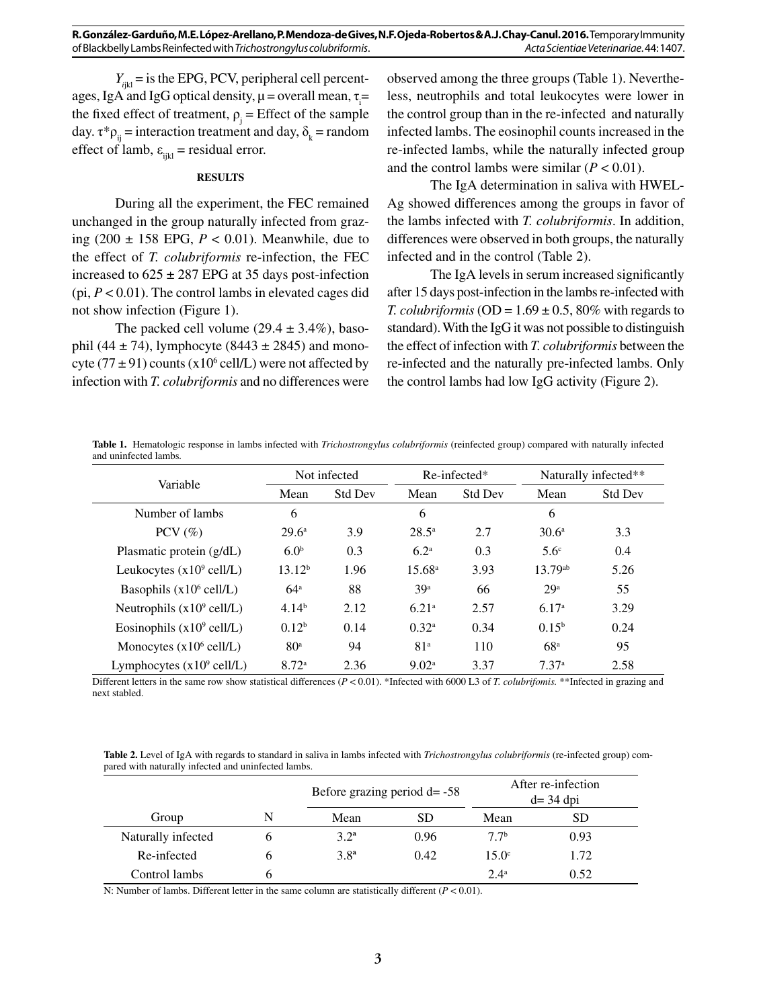$Y_{\text{int}}$  = is the EPG, PCV, peripheral cell percentages, IgA and IgG optical density,  $\mu$  = overall mean,  $\tau$ <sub>i</sub> = the fixed effect of treatment,  $\rho_j$  = Effect of the sample day.  $\tau^* \rho_{ij}$  = interaction treatment and day,  $\delta_k$  = random effect of lamb,  $\varepsilon_{ijkl}$  = residual error.

#### **RESULTS**

During all the experiment, the FEC remained unchanged in the group naturally infected from grazing  $(200 \pm 158 \text{ EPG}, P < 0.01)$ . Meanwhile, due to the effect of *T. colubriformis* re-infection, the FEC increased to  $625 \pm 287$  EPG at 35 days post-infection (pi,  $P < 0.01$ ). The control lambs in elevated cages did not show infection (Figure 1).

The packed cell volume  $(29.4 \pm 3.4\%)$ , basophil (44  $\pm$  74), lymphocyte (8443  $\pm$  2845) and monocyte  $(77 \pm 91)$  counts  $(x10^6 \text{ cell/L})$  were not affected by infection with *T. colubriformis* and no differences were

observed among the three groups (Table 1). Nevertheless, neutrophils and total leukocytes were lower in the control group than in the re-infected and naturally infected lambs. The eosinophil counts increased in the re-infected lambs, while the naturally infected group and the control lambs were similar  $(P < 0.01)$ .

The IgA determination in saliva with HWEL-Ag showed differences among the groups in favor of the lambs infected with *T. colubriformis*. In addition, differences were observed in both groups, the naturally infected and in the control (Table 2).

The IgA levels in serum increased significantly after 15 days post-infection in the lambs re-infected with *T. colubriformis* (OD =  $1.69 \pm 0.5$ , 80% with regards to standard). With the IgG it was not possible to distinguish the effect of infection with *T. colubriformis* between the re-infected and the naturally pre-infected lambs. Only the control lambs had low IgG activity (Figure 2).

**Table 1.** Hematologic response in lambs infected with *Trichostrongylus colubriformis* (reinfected group) compared with naturally infected and uninfected lambs*.*

| Variable                             | Not infected       |                | $Re$ -infected*   |                | Naturally infected** |                |
|--------------------------------------|--------------------|----------------|-------------------|----------------|----------------------|----------------|
|                                      | Mean               | <b>Std Dev</b> | Mean              | <b>Std Dev</b> | Mean                 | <b>Std Dev</b> |
| Number of lambs                      | 6                  |                | 6                 |                | 6                    |                |
| PCV $(\%)$                           | $29.6^{\circ}$     | 3.9            | $28.5^{\circ}$    | 2.7            | 30.6 <sup>a</sup>    | 3.3            |
| Plasmatic protein (g/dL)             | 6.0 <sup>b</sup>   | 0.3            | 6.2 <sup>a</sup>  | 0.3            | 5.6 <sup>c</sup>     | 0.4            |
| Leukocytes $(x10^9 \text{ cell/L})$  | 13.12 <sup>b</sup> | 1.96           | $15.68^{\circ}$   | 3.93           | $13.79^{ab}$         | 5.26           |
| Basophils $(x10^6 \text{ cell/L})$   | 64 <sup>a</sup>    | 88             | 39 <sup>a</sup>   | 66             | 29 <sup>a</sup>      | 55             |
| Neutrophils $(x10^9 \text{ cell/L})$ | 4.14 <sup>b</sup>  | 2.12           | 6.21 <sup>a</sup> | 2.57           | 6.17 <sup>a</sup>    | 3.29           |
| Eosinophils $(x10^9 \text{ cell/L})$ | 0.12 <sup>b</sup>  | 0.14           | $0.32^{\rm a}$    | 0.34           | $0.15^{b}$           | 0.24           |
| Monocytes $(x10^6 \text{ cell/L})$   | 80 <sup>a</sup>    | 94             | 81 <sup>a</sup>   | 110            | 68 <sup>a</sup>      | 95             |
| Lymphocytes $(x10^9 \text{ cell/L})$ | 8.72 <sup>a</sup>  | 2.36           | 9.02 <sup>a</sup> | 3.37           | 7.37 <sup>a</sup>    | 2.58           |

Different letters in the same row show statistical differences (*P* < 0.01). \*Infected with 6000 L3 of *T. colubrifomis.* \*\*Infected in grazing and next stabled.

**Table 2.** Level of IgA with regards to standard in saliva in lambs infected with *Trichostrongylus colubriformis* (re-infected group) compared with naturally infected and uninfected lambs.

|                    |   | Before grazing period $d = -58$ |      | After re-infection<br>$d=$ 34 dpi |      |
|--------------------|---|---------------------------------|------|-----------------------------------|------|
| Group              | N | Mean                            | SD   | Mean                              | SD   |
| Naturally infected |   | $3.2^{\rm a}$                   | 0.96 | 77 <sup>b</sup>                   | 0.93 |
| Re-infected        |   | 3.8 <sup>a</sup>                | 0.42 | $15.0^{\circ}$                    | 1.72 |
| Control lambs      |   |                                 |      | $2.4^{\rm a}$                     | 0.52 |

N: Number of lambs. Different letter in the same column are statistically different  $(P < 0.01)$ .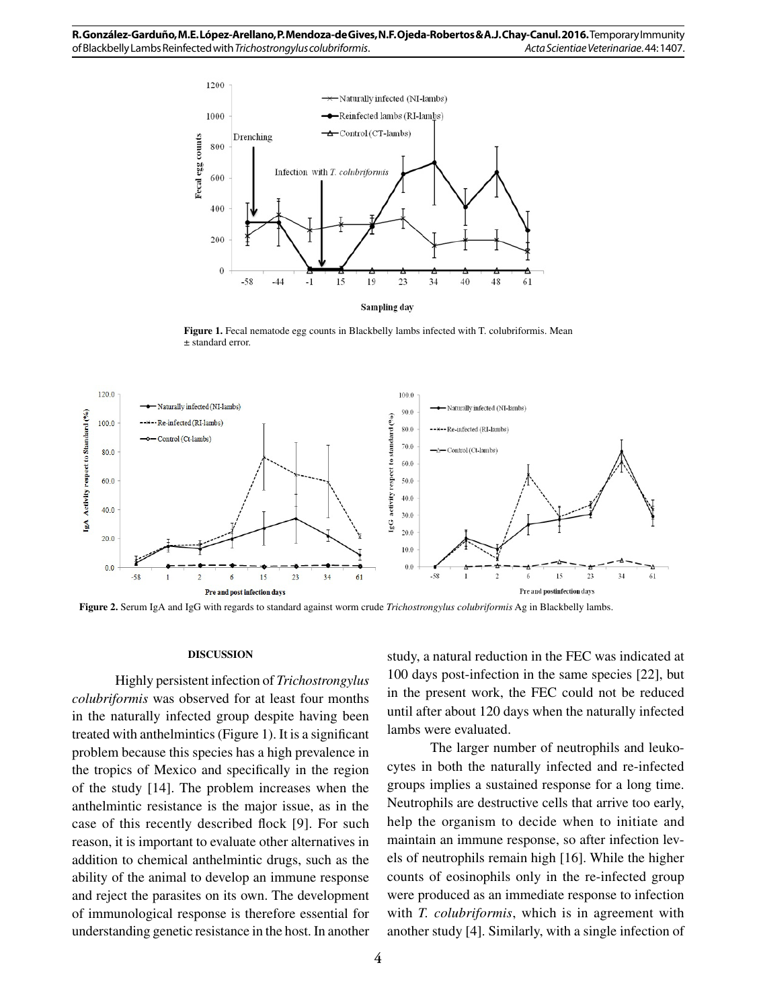

**Figure 1.** Fecal nematode egg counts in Blackbelly lambs infected with T. colubriformis. Mean ± standard error.



**Figure 2.** Serum IgA and IgG with regards to standard against worm crude *Trichostrongylus colubriformis* Ag in Blackbelly lambs.

#### **DISCUSSION**

Highly persistent infection of *Trichostrongylus colubriformis* was observed for at least four months in the naturally infected group despite having been treated with anthelmintics (Figure 1). It is a significant problem because this species has a high prevalence in the tropics of Mexico and specifically in the region of the study [14]. The problem increases when the anthelmintic resistance is the major issue, as in the case of this recently described flock [9]. For such reason, it is important to evaluate other alternatives in addition to chemical anthelmintic drugs, such as the ability of the animal to develop an immune response and reject the parasites on its own. The development of immunological response is therefore essential for understanding genetic resistance in the host. In another study, a natural reduction in the FEC was indicated at 100 days post-infection in the same species [22], but in the present work, the FEC could not be reduced until after about 120 days when the naturally infected lambs were evaluated.

The larger number of neutrophils and leukocytes in both the naturally infected and re-infected groups implies a sustained response for a long time. Neutrophils are destructive cells that arrive too early, help the organism to decide when to initiate and maintain an immune response, so after infection levels of neutrophils remain high [16]. While the higher counts of eosinophils only in the re-infected group were produced as an immediate response to infection with *T. colubriformis*, which is in agreement with another study [4]. Similarly, with a single infection of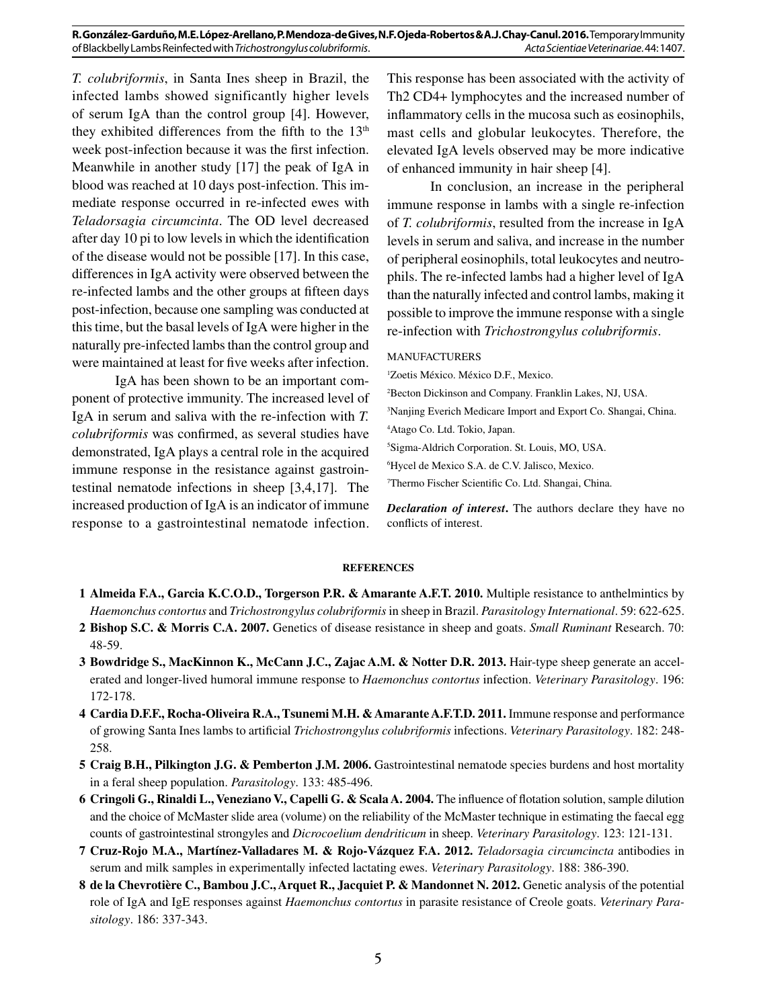**R. González-Garduño, M.E. López-Arellano, P. Mendoza-de Gives, N.F. Ojeda-Robertos & A.J. Chay-Canul. 2016.** Temporary Immunity of Blackbelly Lambs Reinfected with *Trichostrongylus colubriformis*. *Acta Scientiae Veterinariae*. 44: 1407.

*T. colubriformis*, in Santa Ines sheep in Brazil, the infected lambs showed significantly higher levels of serum IgA than the control group [4]. However, they exhibited differences from the fifth to the  $13<sup>th</sup>$ week post-infection because it was the first infection. Meanwhile in another study [17] the peak of IgA in blood was reached at 10 days post-infection. This immediate response occurred in re-infected ewes with *Teladorsagia circumcinta*. The OD level decreased after day 10 pi to low levels in which the identification of the disease would not be possible [17]. In this case, differences in IgA activity were observed between the re-infected lambs and the other groups at fifteen days post-infection, because one sampling was conducted at this time, but the basal levels of IgA were higher in the naturally pre-infected lambs than the control group and were maintained at least for five weeks after infection.

IgA has been shown to be an important component of protective immunity. The increased level of IgA in serum and saliva with the re-infection with *T. colubriformis* was confirmed, as several studies have demonstrated, IgA plays a central role in the acquired immune response in the resistance against gastrointestinal nematode infections in sheep [3,4,17]. The increased production of IgA is an indicator of immune response to a gastrointestinal nematode infection. This response has been associated with the activity of Th2 CD4+ lymphocytes and the increased number of inflammatory cells in the mucosa such as eosinophils, mast cells and globular leukocytes. Therefore, the elevated IgA levels observed may be more indicative of enhanced immunity in hair sheep [4].

In conclusion, an increase in the peripheral immune response in lambs with a single re-infection of *T. colubriformis*, resulted from the increase in IgA levels in serum and saliva, and increase in the number of peripheral eosinophils, total leukocytes and neutrophils. The re-infected lambs had a higher level of IgA than the naturally infected and control lambs, making it possible to improve the immune response with a single re-infection with *Trichostrongylus colubriformis*.

## MANUFACTURERS

1 Zoetis México. México D.F., Mexico.

- 2 Becton Dickinson and Company. Franklin Lakes, NJ, USA.
- 3 Nanjing Everich Medicare Import and Export Co. Shangai, China.

4 Atago Co. Ltd. Tokio, Japan.

5 Sigma-Aldrich Corporation. St. Louis, MO, USA.

6 Hycel de Mexico S.A. de C.V. Jalisco, Mexico.

7 Thermo Fischer Scientific Co. Ltd. Shangai, China.

*Declaration of interest***.** The authors declare they have no conflicts of interest.

#### **REFERENCES**

- **1 Almeida F.A., Garcia K.C.O.D., Torgerson P.R. & Amarante A.F.T. 2010.** Multiple resistance to anthelmintics by *Haemonchus contortus* and *Trichostrongylus colubriformis* in sheep in Brazil. *Parasitology International*. 59: 622-625.
- **2 Bishop S.C. & Morris C.A. 2007.** Genetics of disease resistance in sheep and goats. *Small Ruminant* Research. 70: 48-59.
- **3 Bowdridge S., MacKinnon K., McCann J.C., Zajac A.M. & Notter D.R. 2013.** Hair-type sheep generate an accelerated and longer-lived humoral immune response to *Haemonchus contortus* infection. *Veterinary Parasitology*. 196: 172-178.
- **4 Cardia D.F.F., Rocha-Oliveira R.A., Tsunemi M.H. & Amarante A.F.T.D. 2011.** Immune response and performance of growing Santa Ines lambs to artificial *Trichostrongylus colubriformis* infections. *Veterinary Parasitology*. 182: 248- 258.
- **5 Craig B.H., Pilkington J.G. & Pemberton J.M. 2006.** Gastrointestinal nematode species burdens and host mortality in a feral sheep population. *Parasitology*. 133: 485-496.
- **6 Cringoli G., Rinaldi L., Veneziano V., Capelli G. & Scala A. 2004.** The influence of flotation solution, sample dilution and the choice of McMaster slide area (volume) on the reliability of the McMaster technique in estimating the faecal egg counts of gastrointestinal strongyles and *Dicrocoelium dendriticum* in sheep. *Veterinary Parasitology*. 123: 121-131.
- **7 Cruz-Rojo M.A., Martínez-Valladares M. & Rojo-Vázquez F.A. 2012.** *Teladorsagia circumcincta* antibodies in serum and milk samples in experimentally infected lactating ewes. *Veterinary Parasitology*. 188: 386-390.
- **8 de la Chevrotière C., Bambou J.C., Arquet R., Jacquiet P. & Mandonnet N. 2012.** Genetic analysis of the potential role of IgA and IgE responses against *Haemonchus contortus* in parasite resistance of Creole goats. *Veterinary Parasitology*. 186: 337-343.